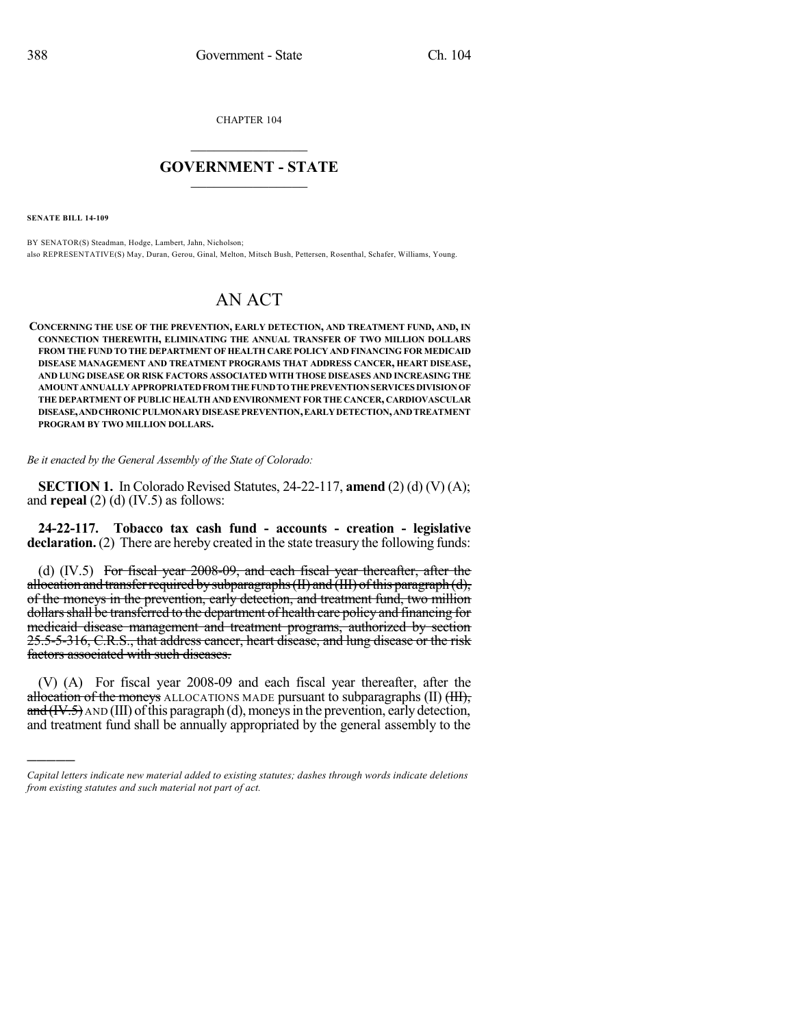CHAPTER 104

## $\overline{\phantom{a}}$  . The set of the set of the set of the set of the set of the set of the set of the set of the set of the set of the set of the set of the set of the set of the set of the set of the set of the set of the set o **GOVERNMENT - STATE**  $\_$

**SENATE BILL 14-109**

)))))

BY SENATOR(S) Steadman, Hodge, Lambert, Jahn, Nicholson; also REPRESENTATIVE(S) May, Duran, Gerou, Ginal, Melton, Mitsch Bush, Pettersen, Rosenthal, Schafer, Williams, Young.

## AN ACT

**CONCERNING THE USE OF THE PREVENTION, EARLY DETECTION, AND TREATMENT FUND, AND, IN CONNECTION THEREWITH, ELIMINATING THE ANNUAL TRANSFER OF TWO MILLION DOLLARS FROM THE FUND TO THE DEPARTMENT OF HEALTH CARE POLICY AND FINANCING FOR MEDICAID DISEASE MANAGEMENT AND TREATMENT PROGRAMS THAT ADDRESS CANCER, HEART DISEASE, AND LUNG DISEASE OR RISK FACTORS ASSOCIATED WITH THOSE DISEASES AND INCREASING THE AMOUNTANNUALLYAPPROPRIATEDFROM THEFUNDTOTHEPREVENTIONSERVICES DIVISIONOF THE DEPARTMENT OF PUBLIC HEALTH AND ENVIRONMENT FOR THE CANCER, CARDIOVASCULAR DISEASE,ANDCHRONICPULMONARYDISEASEPREVENTION,EARLYDETECTION,ANDTREATMENT PROGRAM BY TWO MILLION DOLLARS.**

*Be it enacted by the General Assembly of the State of Colorado:*

**SECTION 1.** In Colorado Revised Statutes, 24-22-117, **amend** (2) (d) (V) (A); and **repeal** (2) (d) (IV.5) as follows:

**24-22-117. Tobacco tax cash fund - accounts - creation - legislative declaration.** (2) There are hereby created in the state treasury the following funds:

(d) (IV.5) For fiscal year 2008-09, and each fiscal year thereafter, after the allocation and transfer required by subparagraphs  $(H)$  and  $(H)$  of this paragraph  $(d)$ , of the moneys in the prevention, early detection, and treatment fund, two million dollars shall be transferred to the department of health care policy and financing for medicaid disease management and treatment programs, authorized by section 25.5-5-316, C.R.S., that address cancer, heart disease, and lung disease or the risk factors associated with such diseases.

(V) (A) For fiscal year 2008-09 and each fiscal year thereafter, after the allocation of the moneys ALLOCATIONS MADE pursuant to subparagraphs  $(II)$   $(HH)$ , and  $(W.5)$  AND (III) of this paragraph (d), moneys in the prevention, early detection, and treatment fund shall be annually appropriated by the general assembly to the

*Capital letters indicate new material added to existing statutes; dashes through words indicate deletions from existing statutes and such material not part of act.*